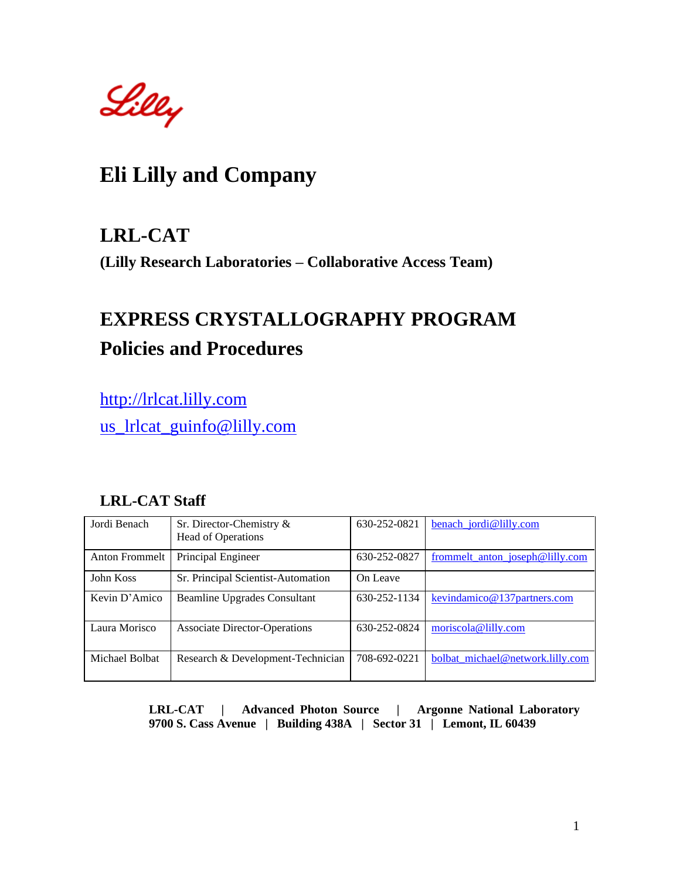Lilly

## **Eli Lilly and Company**

## **LRL-CAT**

**(Lilly Research Laboratories – Collaborative Access Team)**

# **EXPRESS CRYSTALLOGRAPHY PROGRAM Policies and Procedures**

[http://lrlcat.lilly.com](http://lrlcat.lilly.com/) us lrlcat guinfo@lilly.com

### **LRL-CAT Staff**

| Jordi Benach   | Sr. Director-Chemistry &<br>Head of Operations | 630-252-0821 | benach_jordi@lilly.com           |
|----------------|------------------------------------------------|--------------|----------------------------------|
| Anton Frommelt | Principal Engineer                             | 630-252-0827 | frommelt_anton_joseph@lilly.com  |
| John Koss      | Sr. Principal Scientist-Automation             | On Leave     |                                  |
| Kevin D'Amico  | <b>Beamline Upgrades Consultant</b>            | 630-252-1134 | kevindamico@137partners.com      |
| Laura Morisco  | <b>Associate Director-Operations</b>           | 630-252-0824 | moriscola@lilly.com              |
| Michael Bolbat | Research & Development-Technician              | 708-692-0221 | bolbat_michael@network.lilly.com |

 **LRL-CAT | Advanced Photon Source | Argonne National Laboratory 9700 S. Cass Avenue | Building 438A | Sector 31 | Lemont, IL 60439**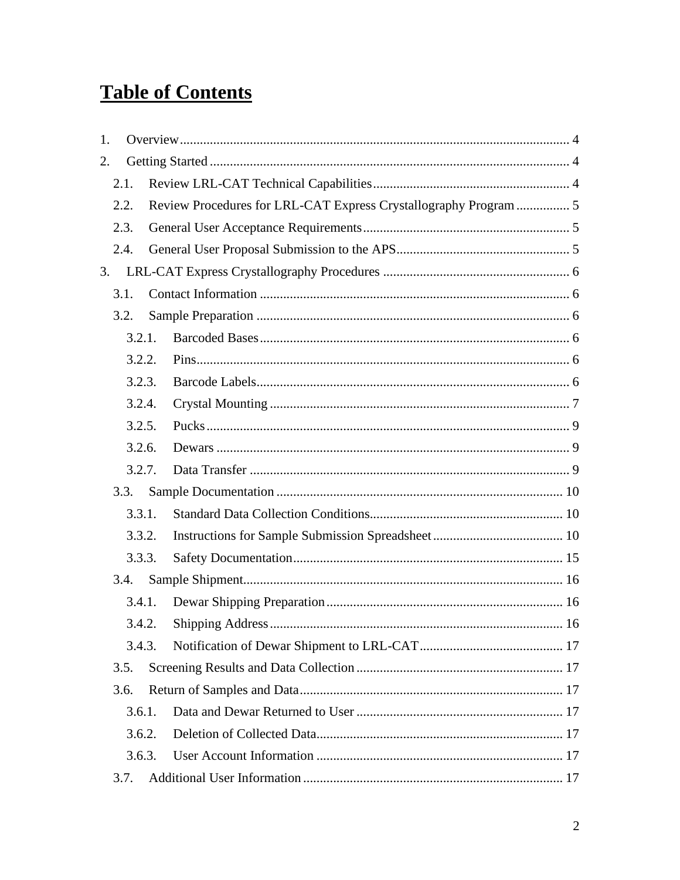# **Table of Contents**

| 1. |        |                                                                  |  |
|----|--------|------------------------------------------------------------------|--|
| 2. |        |                                                                  |  |
|    | 2.1.   |                                                                  |  |
|    | 2.2.   | Review Procedures for LRL-CAT Express Crystallography Program  5 |  |
|    | 2.3.   |                                                                  |  |
|    | 2.4.   |                                                                  |  |
| 3. |        |                                                                  |  |
|    | 3.1.   |                                                                  |  |
|    | 3.2.   |                                                                  |  |
|    | 3.2.1. |                                                                  |  |
|    | 3.2.2. |                                                                  |  |
|    | 3.2.3. |                                                                  |  |
|    | 3.2.4. |                                                                  |  |
|    | 3.2.5. |                                                                  |  |
|    | 3.2.6. |                                                                  |  |
|    | 3.2.7. |                                                                  |  |
|    | 3.3.   |                                                                  |  |
|    | 3.3.1. |                                                                  |  |
|    | 3.3.2. |                                                                  |  |
|    | 3.3.3. |                                                                  |  |
|    | 3.4.   |                                                                  |  |
|    | 3.4.1. |                                                                  |  |
|    |        |                                                                  |  |
|    | 3.4.3. |                                                                  |  |
|    | 3.5.   |                                                                  |  |
|    | 3.6.   |                                                                  |  |
|    | 3.6.1. |                                                                  |  |
|    | 3.6.2. |                                                                  |  |
|    | 3.6.3. |                                                                  |  |
|    | 3.7.   |                                                                  |  |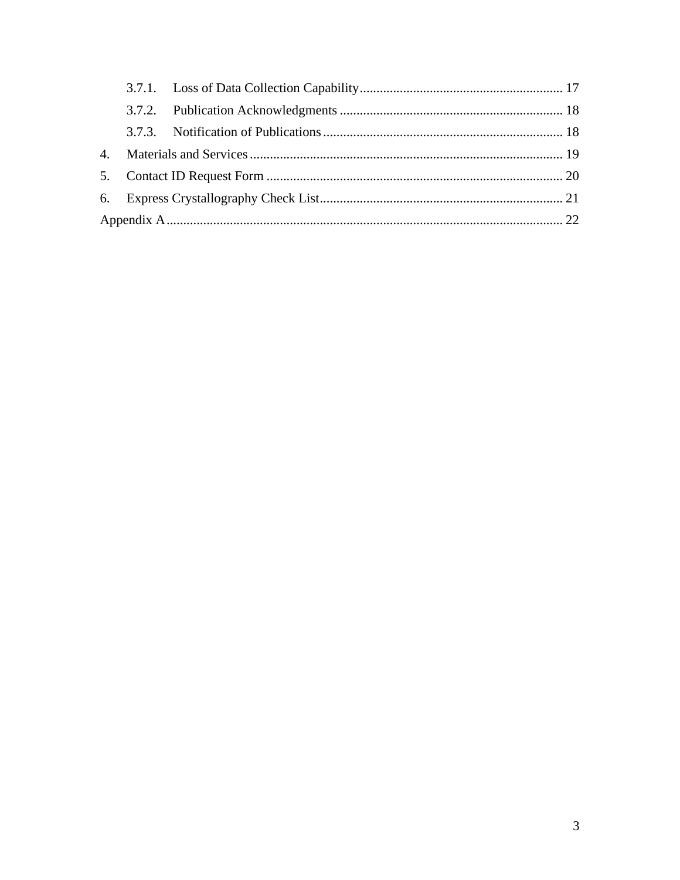| $\mathbf{4}$ . |  |  |  |
|----------------|--|--|--|
| 5.             |  |  |  |
| 6.             |  |  |  |
|                |  |  |  |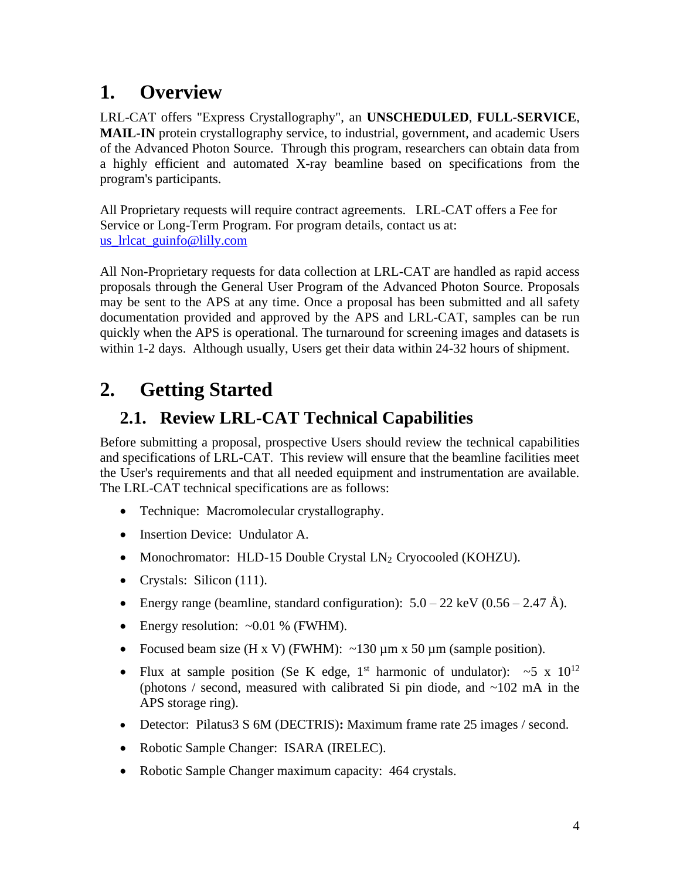## <span id="page-3-0"></span>**1. Overview**

LRL-CAT offers "Express Crystallography", an **UNSCHEDULED**, **FULL-SERVICE**, **MAIL-IN** protein crystallography service, to industrial, government, and academic Users of the Advanced Photon Source. Through this program, researchers can obtain data from a highly efficient and automated X-ray beamline based on specifications from the program's participants.

All Proprietary requests will require contract agreements. LRL-CAT offers a Fee for Service or Long-Term Program. For program details, contact us at: us lrlcat guinfo@lilly.com

All Non-Proprietary requests for data collection at LRL-CAT are handled as rapid access proposals through the General User Program of the Advanced Photon Source. Proposals may be sent to the APS at any time. Once a proposal has been submitted and all safety documentation provided and approved by the APS and LRL-CAT, samples can be run quickly when the APS is operational. The turnaround for screening images and datasets is within 1-2 days. Although usually, Users get their data within 24-32 hours of shipment.

# <span id="page-3-1"></span>**2. Getting Started**

## <span id="page-3-2"></span>**2.1. Review LRL-CAT Technical Capabilities**

Before submitting a proposal, prospective Users should review the technical capabilities and specifications of LRL-CAT. This review will ensure that the beamline facilities meet the User's requirements and that all needed equipment and instrumentation are available. The LRL-CAT technical specifications are as follows:

- Technique: Macromolecular crystallography.
- Insertion Device: Undulator A.
- Monochromator: HLD-15 Double Crystal LN2 Cryocooled (KOHZU).
- Crystals: Silicon (111).
- Energy range (beamline, standard configuration):  $5.0 22 \text{ keV}$  (0.56 2.47 Å).
- Energy resolution:  $\sim 0.01$  % (FWHM).
- Focused beam size (H x V) (FWHM):  $\sim$ 130  $\mu$ m x 50  $\mu$ m (sample position).
- Flux at sample position (Se K edge, 1<sup>st</sup> harmonic of undulator):  $\sim$  5 x 10<sup>12</sup> (photons / second, measured with calibrated Si pin diode, and  $\sim$ 102 mA in the APS storage ring).
- Detector: Pilatus3 S 6M (DECTRIS)**:** Maximum frame rate 25 images / second.
- Robotic Sample Changer: ISARA (IRELEC).
- Robotic Sample Changer maximum capacity: 464 crystals.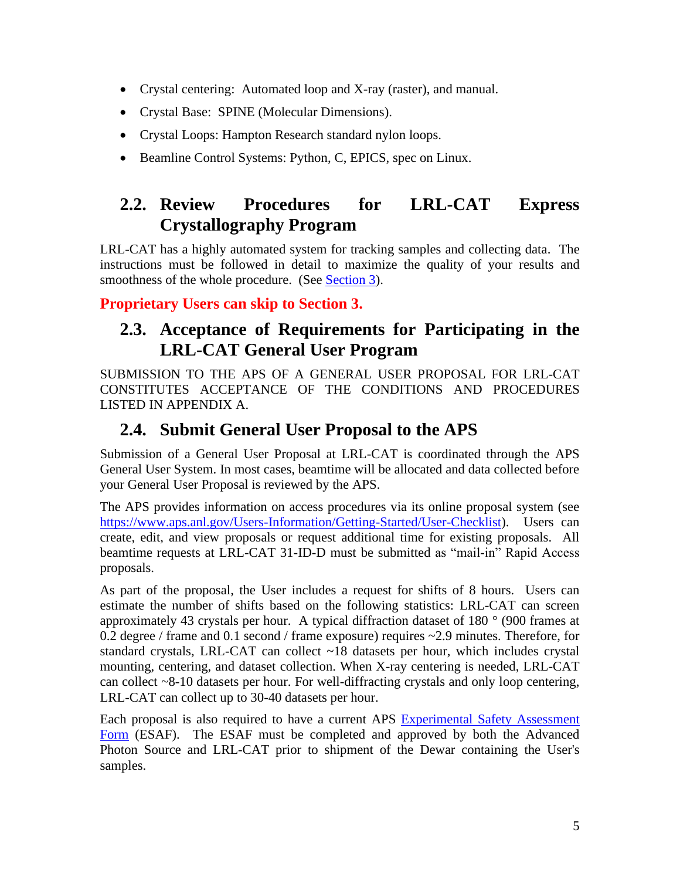- Crystal centering: Automated loop and X-ray (raster), and manual.
- Crystal Base: SPINE (Molecular Dimensions).
- Crystal Loops: Hampton Research standard nylon loops.
- Beamline Control Systems: Python, C, EPICS, spec on Linux.

## <span id="page-4-0"></span>**2.2. Review Procedures for LRL-CAT Express Crystallography Program**

LRL-CAT has a highly automated system for tracking samples and collecting data. The instructions must be followed in detail to maximize the quality of your results and smoothness of the whole procedure. (See [Section 3\)](#page-5-0).

**Proprietary Users can skip to Section 3.**

## <span id="page-4-1"></span>**2.3. Acceptance of Requirements for Participating in the LRL-CAT General User Program**

SUBMISSION TO THE APS OF A GENERAL USER PROPOSAL FOR LRL-CAT CONSTITUTES ACCEPTANCE OF THE CONDITIONS AND PROCEDURES LISTED IN APPENDIX A.

## <span id="page-4-2"></span>**2.4. Submit General User Proposal to the APS**

Submission of a General User Proposal at LRL-CAT is coordinated through the APS General User System. In most cases, beamtime will be allocated and data collected before your General User Proposal is reviewed by the APS.

The APS provides information on access procedures via its online proposal system (see [https://www.aps.anl.gov/Users-Information/Getting-Started/User-Checklist\)](https://www.aps.anl.gov/Users-Information/Getting-Started/User-Checklist). Users can create, edit, and view proposals or request additional time for existing proposals. All beamtime requests at LRL-CAT 31-ID-D must be submitted as "mail-in" Rapid Access proposals.

As part of the proposal, the User includes a request for shifts of 8 hours. Users can estimate the number of shifts based on the following statistics: LRL-CAT can screen approximately 43 crystals per hour. A typical diffraction dataset of 180 ° (900 frames at 0.2 degree / frame and 0.1 second / frame exposure) requires ~2.9 minutes. Therefore, for standard crystals, LRL-CAT can collect ~18 datasets per hour, which includes crystal mounting, centering, and dataset collection. When X-ray centering is needed, LRL-CAT can collect ~8-10 datasets per hour. For well-diffracting crystals and only loop centering, LRL-CAT can collect up to 30-40 datasets per hour.

Each proposal is also required to have a current APS [Experimental Safety Assessment](https://beam.aps.anl.gov/pls/apsweb/esaf0001.start_page)  [Form](https://beam.aps.anl.gov/pls/apsweb/esaf0001.start_page) (ESAF). The ESAF must be completed and approved by both the Advanced Photon Source and LRL-CAT prior to shipment of the Dewar containing the User's samples.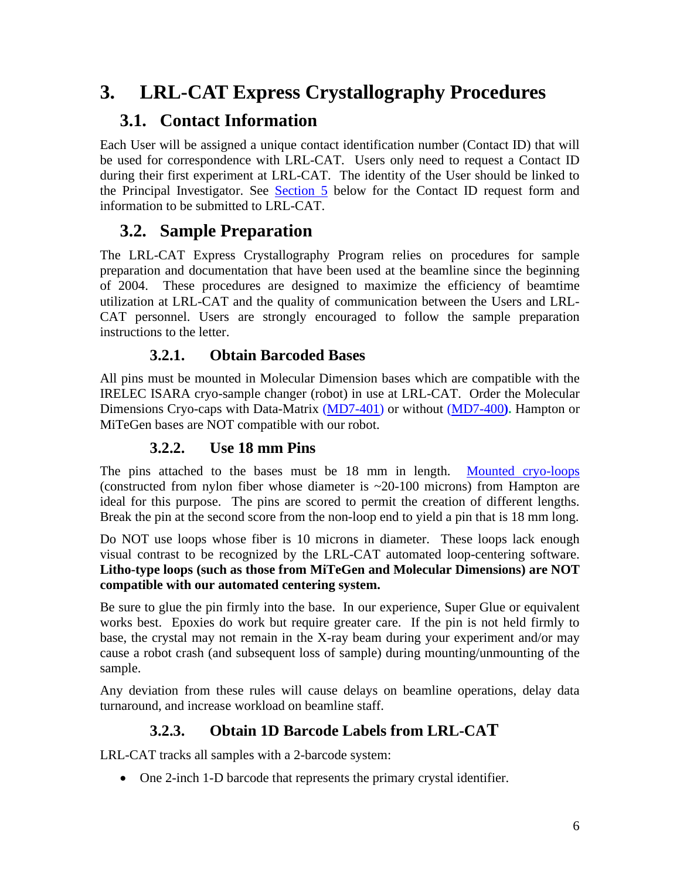## <span id="page-5-0"></span>**3. LRL-CAT Express Crystallography Procedures**

## <span id="page-5-1"></span>**3.1. Contact Information**

Each User will be assigned a unique contact identification number (Contact ID) that will be used for correspondence with LRL-CAT. Users only need to request a Contact ID during their first experiment at LRL-CAT. The identity of the User should be linked to the Principal Investigator. See [Section 5](#page-19-0) below for the Contact ID request form and information to be submitted to LRL-CAT.

## <span id="page-5-2"></span>**3.2. Sample Preparation**

The LRL-CAT Express Crystallography Program relies on procedures for sample preparation and documentation that have been used at the beamline since the beginning of 2004. These procedures are designed to maximize the efficiency of beamtime utilization at LRL-CAT and the quality of communication between the Users and LRL-CAT personnel. Users are strongly encouraged to follow the sample preparation instructions to the letter.

#### **3.2.1. Obtain Barcoded Bases**

<span id="page-5-3"></span>All pins must be mounted in Molecular Dimension bases which are compatible with the IRELEC ISARA cryo-sample changer (robot) in use at LRL-CAT. Order the Molecular Dimensions Cryo-caps with Data-Matrix [\(MD7-401\)](https://www.moleculardimensions.com/search?q=MD7-401&searchType=all) or without [\(MD7-400](https://www.moleculardimensions.com/products/magnetic-cryovials-and-cryocaps)**).** Hampton or MiTeGen bases are NOT compatible with our robot.

### **3.2.2. Use 18 mm Pins**

<span id="page-5-4"></span>The pins attached to the bases must be 18 mm in length. [Mounted cryo-loops](http://hamptonresearch.com/product_detail.aspx?cid=24&sid=136&pid=384) (constructed from nylon fiber whose diameter is ~20-100 microns) from Hampton are ideal for this purpose. The pins are scored to permit the creation of different lengths. Break the pin at the second score from the non-loop end to yield a pin that is 18 mm long.

Do NOT use loops whose fiber is 10 microns in diameter. These loops lack enough visual contrast to be recognized by the LRL-CAT automated loop-centering software. **Litho-type loops (such as those from MiTeGen and Molecular Dimensions) are NOT compatible with our automated centering system.**

Be sure to glue the pin firmly into the base. In our experience, Super Glue or equivalent works best. Epoxies do work but require greater care. If the pin is not held firmly to base, the crystal may not remain in the X-ray beam during your experiment and/or may cause a robot crash (and subsequent loss of sample) during mounting/unmounting of the sample.

Any deviation from these rules will cause delays on beamline operations, delay data turnaround, and increase workload on beamline staff.

## **3.2.3. Obtain 1D Barcode Labels from LRL-CAT**

<span id="page-5-5"></span>LRL-CAT tracks all samples with a 2-barcode system:

• One 2-inch 1-D barcode that represents the primary crystal identifier.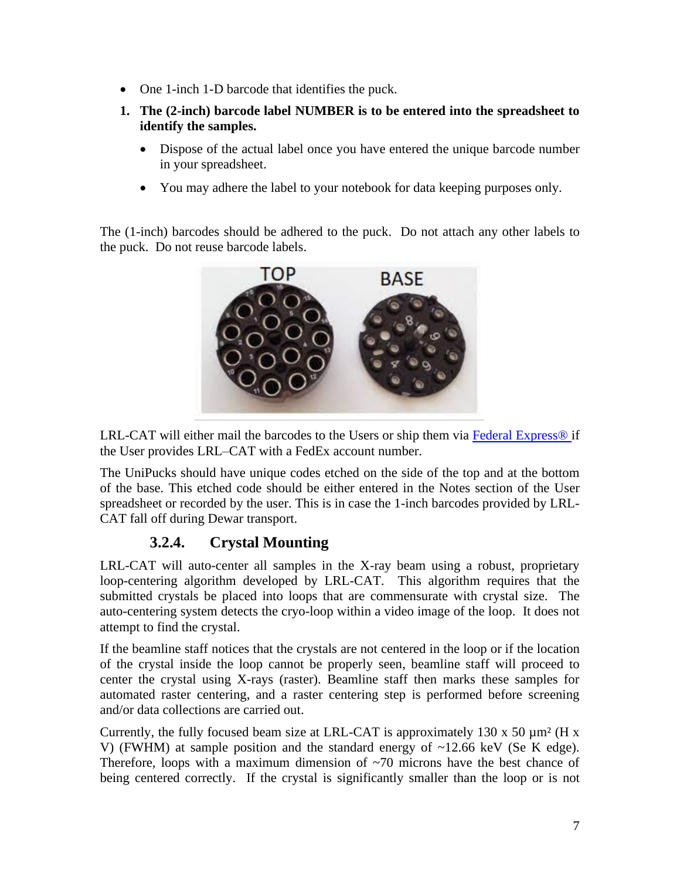- One 1-inch 1-D barcode that identifies the puck.
- **1. The (2-inch) barcode label NUMBER is to be entered into the spreadsheet to identify the samples.**
	- Dispose of the actual label once you have entered the unique barcode number in your spreadsheet.
	- You may adhere the label to your notebook for data keeping purposes only.

The (1-inch) barcodes should be adhered to the puck. Do not attach any other labels to the puck. Do not reuse barcode labels.



LRL-CAT will either mail the barcodes to the Users or ship them via Federal Express<sup>®</sup> if the User provides LRL–CAT with a FedEx account number.

The UniPucks should have unique codes etched on the side of the top and at the bottom of the base. This etched code should be either entered in the Notes section of the User spreadsheet or recorded by the user. This is in case the 1-inch barcodes provided by LRL-CAT fall off during Dewar transport.

### **3.2.4. Crystal Mounting**

<span id="page-6-0"></span>LRL-CAT will auto-center all samples in the X-ray beam using a robust, proprietary loop-centering algorithm developed by LRL-CAT. This algorithm requires that the submitted crystals be placed into loops that are commensurate with crystal size. The auto-centering system detects the cryo-loop within a video image of the loop. It does not attempt to find the crystal.

If the beamline staff notices that the crystals are not centered in the loop or if the location of the crystal inside the loop cannot be properly seen, beamline staff will proceed to center the crystal using X-rays (raster). Beamline staff then marks these samples for automated raster centering, and a raster centering step is performed before screening and/or data collections are carried out.

Currently, the fully focused beam size at LRL-CAT is approximately 130 x 50  $\mu$ m<sup>2</sup> (H x V) (FWHM) at sample position and the standard energy of ~12.66 keV (Se K edge). Therefore, loops with a maximum dimension of  $\sim$ 70 microns have the best chance of being centered correctly. If the crystal is significantly smaller than the loop or is not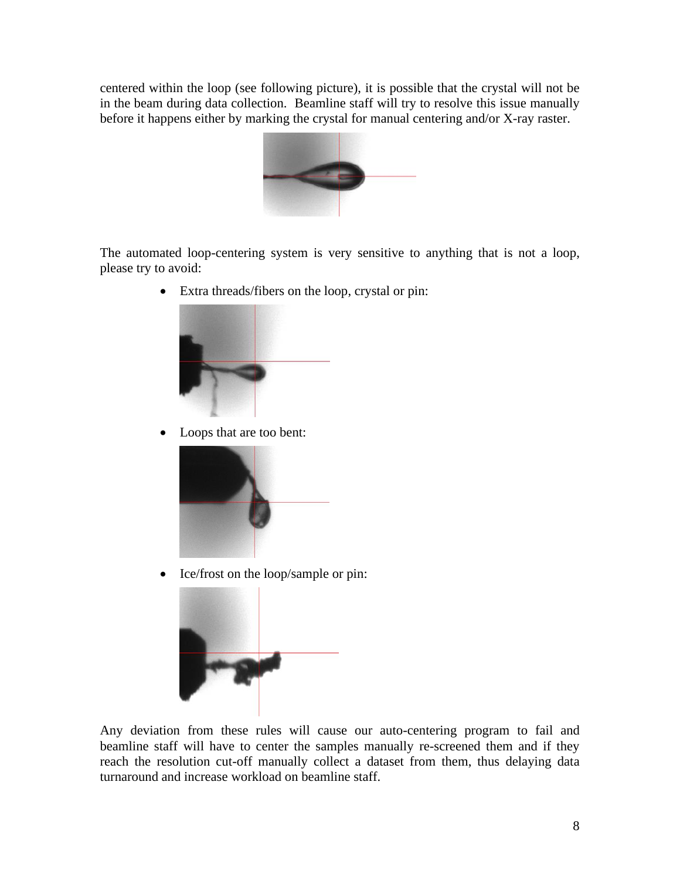centered within the loop (see following picture), it is possible that the crystal will not be in the beam during data collection. Beamline staff will try to resolve this issue manually before it happens either by marking the crystal for manual centering and/or X-ray raster.



The automated loop-centering system is very sensitive to anything that is not a loop, please try to avoid:

• Extra threads/fibers on the loop, crystal or pin:



• Loops that are too bent:



• Ice/frost on the loop/sample or pin:



Any deviation from these rules will cause our auto-centering program to fail and beamline staff will have to center the samples manually re-screened them and if they reach the resolution cut-off manually collect a dataset from them, thus delaying data turnaround and increase workload on beamline staff.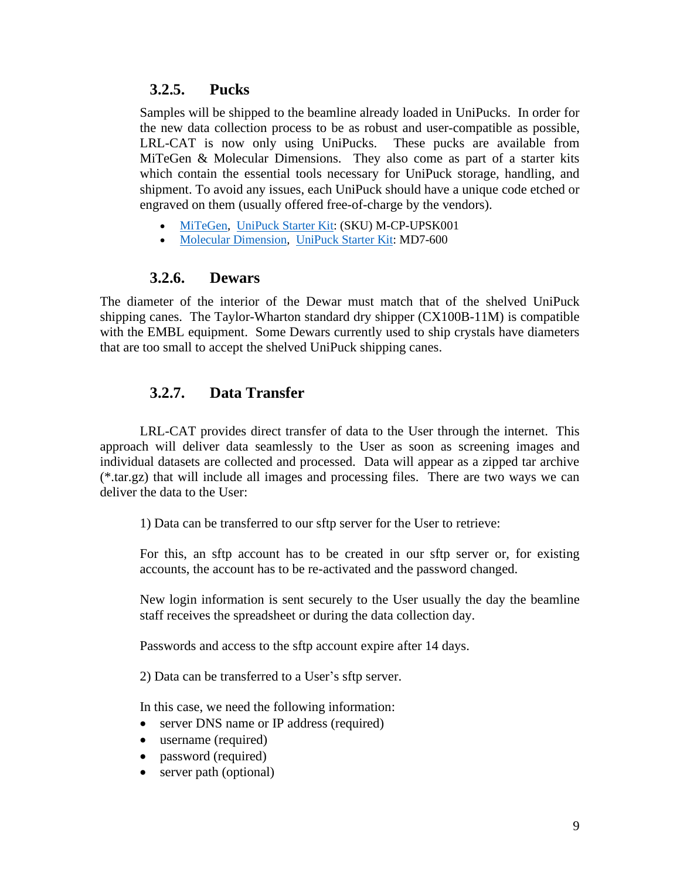#### **3.2.5. Pucks**

<span id="page-8-0"></span>Samples will be shipped to the beamline already loaded in UniPucks. In order for the new data collection process to be as robust and user-compatible as possible, LRL-CAT is now only using UniPucks. These pucks are available from MiTeGen & Molecular Dimensions. They also come as part of a starter kits which contain the essential tools necessary for UniPuck storage, handling, and shipment. To avoid any issues, each UniPuck should have a unique code etched or engraved on them (usually offered free-of-charge by the vendors).

- [MiTeGen,](https://www.mitegen.com/) UniPuck [Starter Kit:](https://www.mitegen.com/product/universal-pucks-starter-kits/) (SKU) M-CP-UPSK001
- [Molecular Dimension,](https://www.moleculardimensions.com/) UniPuck [Starter Kit:](https://www.moleculardimensions.com/products/uni-pucks-and-accessories) MD7-600

#### **3.2.6. Dewars**

<span id="page-8-1"></span>The diameter of the interior of the Dewar must match that of the shelved UniPuck shipping canes. The Taylor-Wharton standard dry shipper (CX100B-11M) is compatible with the EMBL equipment. Some Dewars currently used to ship crystals have diameters that are too small to accept the shelved UniPuck shipping canes.

#### **3.2.7. Data Transfer**

<span id="page-8-2"></span>LRL-CAT provides direct transfer of data to the User through the internet. This approach will deliver data seamlessly to the User as soon as screening images and individual datasets are collected and processed. Data will appear as a zipped tar archive (\*.tar.gz) that will include all images and processing files. There are two ways we can deliver the data to the User:

1) Data can be transferred to our sftp server for the User to retrieve:

For this, an sftp account has to be created in our sftp server or, for existing accounts, the account has to be re-activated and the password changed.

New login information is sent securely to the User usually the day the beamline staff receives the spreadsheet or during the data collection day.

Passwords and access to the sftp account expire after 14 days.

2) Data can be transferred to a User's sftp server.

In this case, we need the following information:

- server DNS name or IP address (required)
- username (required)
- password (required)
- server path (optional)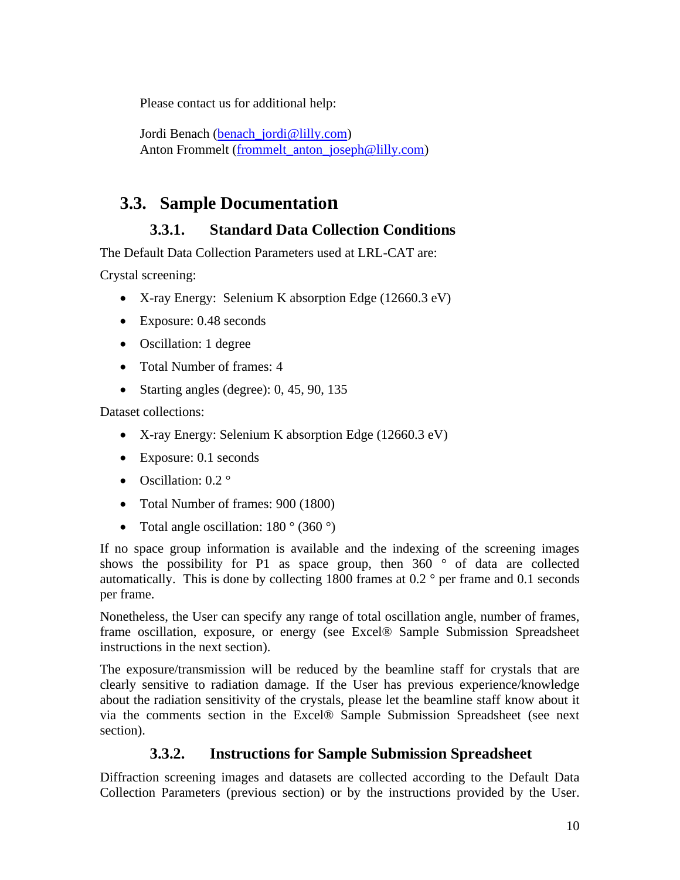Please contact us for additional help:

Jordi Benach [\(benach\\_jordi@lilly.com\)](mailto:benach_jordi@lilly.com) Anton Frommelt [\(frommelt\\_anton\\_joseph@lilly.com\)](mailto:frommelt_anton_joseph@lilly.com)

## <span id="page-9-0"></span>**3.3. Sample Documentation**

### **3.3.1. Standard Data Collection Conditions**

<span id="page-9-1"></span>The Default Data Collection Parameters used at LRL-CAT are:

Crystal screening:

- X-ray Energy: Selenium K absorption Edge (12660.3 eV)
- Exposure: 0.48 seconds
- Oscillation: 1 degree
- Total Number of frames: 4
- Starting angles (degree): 0, 45, 90, 135

Dataset collections:

- X-ray Energy: Selenium K absorption Edge (12660.3 eV)
- Exposure: 0.1 seconds
- Oscillation:  $0.2^\circ$
- Total Number of frames: 900 (1800)
- Total angle oscillation:  $180^\circ$  (360 $^\circ$ )

If no space group information is available and the indexing of the screening images shows the possibility for P1 as space group, then  $360^\circ$  of data are collected automatically. This is done by collecting 1800 frames at  $0.2$  ° per frame and  $0.1$  seconds per frame.

Nonetheless, the User can specify any range of total oscillation angle, number of frames, frame oscillation, exposure, or energy (see Excel® Sample Submission Spreadsheet instructions in the next section).

The exposure/transmission will be reduced by the beamline staff for crystals that are clearly sensitive to radiation damage. If the User has previous experience/knowledge about the radiation sensitivity of the crystals, please let the beamline staff know about it via the comments section in the Excel® Sample Submission Spreadsheet (see next section).

### **3.3.2. Instructions for Sample Submission Spreadsheet**

<span id="page-9-2"></span>Diffraction screening images and datasets are collected according to the Default Data Collection Parameters (previous section) or by the instructions provided by the User.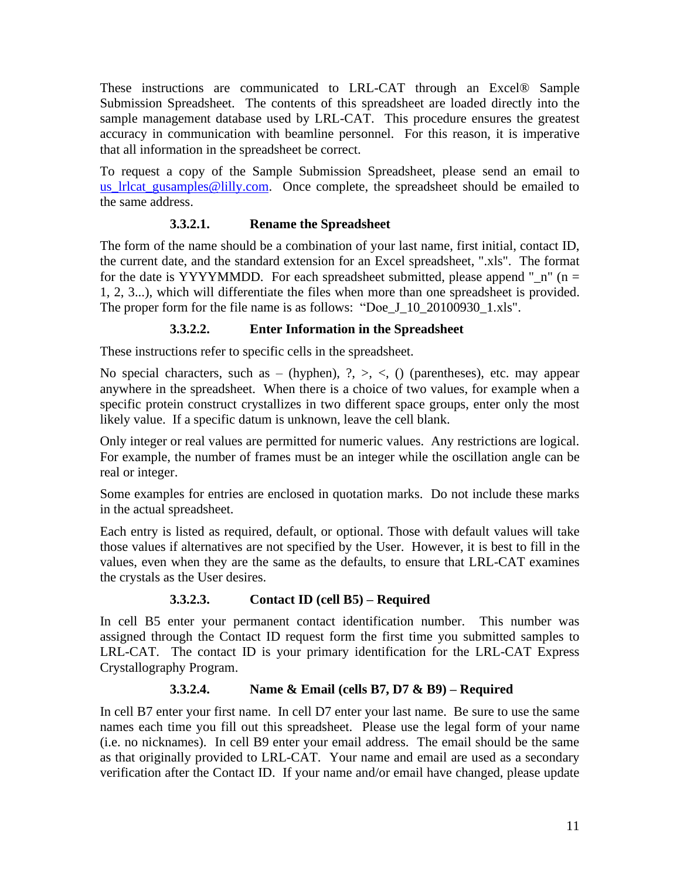These instructions are communicated to LRL-CAT through an Excel® Sample Submission Spreadsheet. The contents of this spreadsheet are loaded directly into the sample management database used by LRL-CAT. This procedure ensures the greatest accuracy in communication with beamline personnel. For this reason, it is imperative that all information in the spreadsheet be correct.

To request a copy of the Sample Submission Spreadsheet, please send an email to [us\\_lrlcat\\_gusamples@lilly.com.](mailto:us_lrlcat_gusamples@lilly.com) Once complete, the spreadsheet should be emailed to the same address.

#### **3.3.2.1. Rename the Spreadsheet**

The form of the name should be a combination of your last name, first initial, contact ID, the current date, and the standard extension for an Excel spreadsheet, ".xls". The format for the date is YYYYMMDD. For each spreadsheet submitted, please append " $n$ " (n = 1, 2, 3...), which will differentiate the files when more than one spreadsheet is provided. The proper form for the file name is as follows: "Doe J 10 20100930 1.xls".

#### **3.3.2.2. Enter Information in the Spreadsheet**

These instructions refer to specific cells in the spreadsheet.

No special characters, such as – (hyphen),  $2, \geq, \leq, 0$  (parentheses), etc. may appear anywhere in the spreadsheet. When there is a choice of two values, for example when a specific protein construct crystallizes in two different space groups, enter only the most likely value. If a specific datum is unknown, leave the cell blank.

Only integer or real values are permitted for numeric values. Any restrictions are logical. For example, the number of frames must be an integer while the oscillation angle can be real or integer.

Some examples for entries are enclosed in quotation marks. Do not include these marks in the actual spreadsheet.

Each entry is listed as required, default, or optional. Those with default values will take those values if alternatives are not specified by the User. However, it is best to fill in the values, even when they are the same as the defaults, to ensure that LRL-CAT examines the crystals as the User desires.

#### **3.3.2.3. Contact ID (cell B5) – Required**

In cell B5 enter your permanent contact identification number. This number was assigned through the Contact ID request form the first time you submitted samples to LRL-CAT. The contact ID is your primary identification for the LRL-CAT Express Crystallography Program.

#### **3.3.2.4. Name & Email (cells B7, D7 & B9) – Required**

In cell B7 enter your first name. In cell D7 enter your last name. Be sure to use the same names each time you fill out this spreadsheet. Please use the legal form of your name (i.e. no nicknames). In cell B9 enter your email address. The email should be the same as that originally provided to LRL-CAT. Your name and email are used as a secondary verification after the Contact ID. If your name and/or email have changed, please update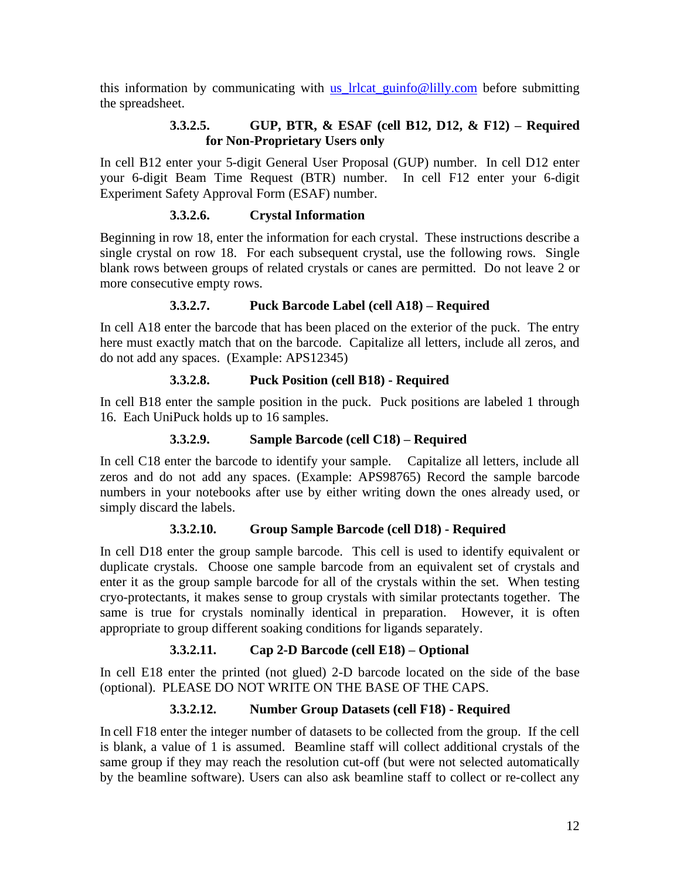this information by communicating with us lrlcat guinfo@lilly.com before submitting the spreadsheet.

#### **3.3.2.5. GUP, BTR, & ESAF (cell B12, D12, & F12) – Required for Non-Proprietary Users only**

In cell B12 enter your 5-digit General User Proposal (GUP) number. In cell D12 enter your 6-digit Beam Time Request (BTR) number. In cell F12 enter your 6-digit Experiment Safety Approval Form (ESAF) number.

#### **3.3.2.6. Crystal Information**

Beginning in row 18, enter the information for each crystal. These instructions describe a single crystal on row 18. For each subsequent crystal, use the following rows. Single blank rows between groups of related crystals or canes are permitted. Do not leave 2 or more consecutive empty rows.

#### **3.3.2.7. Puck Barcode Label (cell A18) – Required**

In cell A18 enter the barcode that has been placed on the exterior of the puck. The entry here must exactly match that on the barcode. Capitalize all letters, include all zeros, and do not add any spaces. (Example: APS12345)

#### **3.3.2.8. Puck Position (cell B18) - Required**

In cell B18 enter the sample position in the puck. Puck positions are labeled 1 through 16. Each UniPuck holds up to 16 samples.

#### **3.3.2.9. Sample Barcode (cell C18) – Required**

In cell C18 enter the barcode to identify your sample. Capitalize all letters, include all zeros and do not add any spaces. (Example: APS98765) Record the sample barcode numbers in your notebooks after use by either writing down the ones already used, or simply discard the labels.

#### **3.3.2.10. Group Sample Barcode (cell D18) - Required**

In cell D18 enter the group sample barcode. This cell is used to identify equivalent or duplicate crystals. Choose one sample barcode from an equivalent set of crystals and enter it as the group sample barcode for all of the crystals within the set. When testing cryo-protectants, it makes sense to group crystals with similar protectants together. The same is true for crystals nominally identical in preparation. However, it is often appropriate to group different soaking conditions for ligands separately.

#### **3.3.2.11. Cap 2-D Barcode (cell E18) – Optional**

In cell E18 enter the printed (not glued) 2-D barcode located on the side of the base (optional). PLEASE DO NOT WRITE ON THE BASE OF THE CAPS.

#### **3.3.2.12. Number Group Datasets (cell F18) - Required**

In cell F18 enter the integer number of datasets to be collected from the group. If the cell is blank, a value of 1 is assumed. Beamline staff will collect additional crystals of the same group if they may reach the resolution cut-off (but were not selected automatically by the beamline software). Users can also ask beamline staff to collect or re-collect any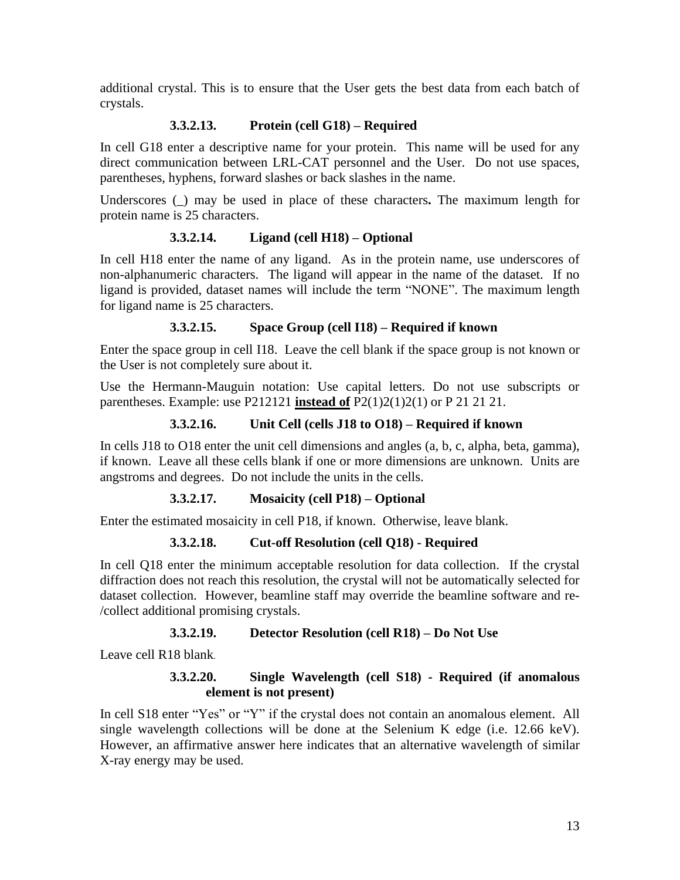additional crystal. This is to ensure that the User gets the best data from each batch of crystals.

#### **3.3.2.13. Protein (cell G18) – Required**

In cell G18 enter a descriptive name for your protein. This name will be used for any direct communication between LRL-CAT personnel and the User. Do not use spaces, parentheses, hyphens, forward slashes or back slashes in the name.

Underscores (\_) may be used in place of these characters**.** The maximum length for protein name is 25 characters.

#### **3.3.2.14. Ligand (cell H18) – Optional**

In cell H18 enter the name of any ligand. As in the protein name, use underscores of non-alphanumeric characters. The ligand will appear in the name of the dataset. If no ligand is provided, dataset names will include the term "NONE". The maximum length for ligand name is 25 characters.

#### **3.3.2.15. Space Group (cell I18) – Required if known**

Enter the space group in cell I18. Leave the cell blank if the space group is not known or the User is not completely sure about it.

Use the Hermann-Mauguin notation: Use capital letters. Do not use subscripts or parentheses. Example: use P212121 **instead of** P2(1)2(1)2(1) or P 21 21 21.

#### **3.3.2.16. Unit Cell (cells J18 to O18) – Required if known**

In cells J18 to O18 enter the unit cell dimensions and angles (a, b, c, alpha, beta, gamma), if known. Leave all these cells blank if one or more dimensions are unknown. Units are angstroms and degrees. Do not include the units in the cells.

#### **3.3.2.17. Mosaicity (cell P18) – Optional**

Enter the estimated mosaicity in cell P18, if known. Otherwise, leave blank.

#### **3.3.2.18. Cut-off Resolution (cell Q18) - Required**

In cell Q18 enter the minimum acceptable resolution for data collection. If the crystal diffraction does not reach this resolution, the crystal will not be automatically selected for dataset collection. However, beamline staff may override the beamline software and re- /collect additional promising crystals.

#### **3.3.2.19. Detector Resolution (cell R18) – Do Not Use**

Leave cell R18 blank.

#### **3.3.2.20. Single Wavelength (cell S18) - Required (if anomalous element is not present)**

In cell S18 enter "Yes" or "Y" if the crystal does not contain an anomalous element. All single wavelength collections will be done at the Selenium K edge (i.e. 12.66 keV). However, an affirmative answer here indicates that an alternative wavelength of similar X-ray energy may be used.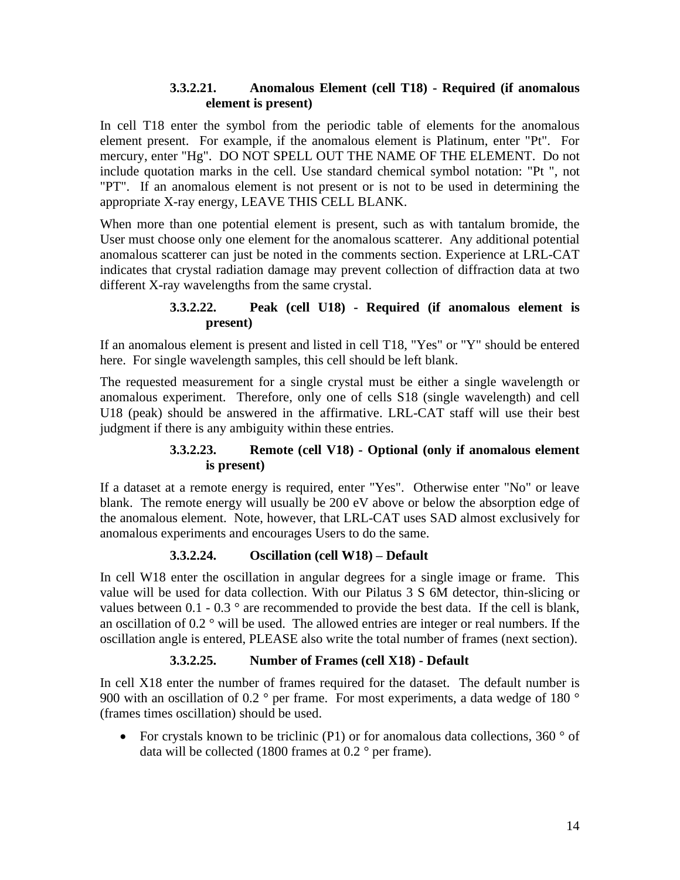#### **3.3.2.21. Anomalous Element (cell T18) - Required (if anomalous element is present)**

In cell T18 enter the symbol from the periodic table of elements for the anomalous element present. For example, if the anomalous element is Platinum, enter "Pt". For mercury, enter "Hg". DO NOT SPELL OUT THE NAME OF THE ELEMENT. Do not include quotation marks in the cell. Use standard chemical symbol notation: "Pt ", not "PT". If an anomalous element is not present or is not to be used in determining the appropriate X-ray energy, LEAVE THIS CELL BLANK.

When more than one potential element is present, such as with tantalum bromide, the User must choose only one element for the anomalous scatterer. Any additional potential anomalous scatterer can just be noted in the comments section. Experience at LRL-CAT indicates that crystal radiation damage may prevent collection of diffraction data at two different X-ray wavelengths from the same crystal.

#### **3.3.2.22. Peak (cell U18) - Required (if anomalous element is present)**

If an anomalous element is present and listed in cell T18, "Yes" or "Y" should be entered here. For single wavelength samples, this cell should be left blank.

The requested measurement for a single crystal must be either a single wavelength or anomalous experiment. Therefore, only one of cells S18 (single wavelength) and cell U18 (peak) should be answered in the affirmative. LRL-CAT staff will use their best judgment if there is any ambiguity within these entries.

#### **3.3.2.23. Remote (cell V18) - Optional (only if anomalous element is present)**

If a dataset at a remote energy is required, enter "Yes". Otherwise enter "No" or leave blank. The remote energy will usually be 200 eV above or below the absorption edge of the anomalous element. Note, however, that LRL-CAT uses SAD almost exclusively for anomalous experiments and encourages Users to do the same.

#### **3.3.2.24. Oscillation (cell W18) – Default**

In cell W18 enter the oscillation in angular degrees for a single image or frame. This value will be used for data collection. With our Pilatus 3 S 6M detector, thin-slicing or values between  $0.1 - 0.3$  ° are recommended to provide the best data. If the cell is blank, an oscillation of 0.2 ° will be used. The allowed entries are integer or real numbers. If the oscillation angle is entered, PLEASE also write the total number of frames (next section).

#### **3.3.2.25. Number of Frames (cell X18) - Default**

In cell X18 enter the number of frames required for the dataset. The default number is 900 with an oscillation of 0.2  $\degree$  per frame. For most experiments, a data wedge of 180  $\degree$ (frames times oscillation) should be used.

• For crystals known to be triclinic (P1) or for anomalous data collections, 360  $\degree$  of data will be collected (1800 frames at  $0.2$  ° per frame).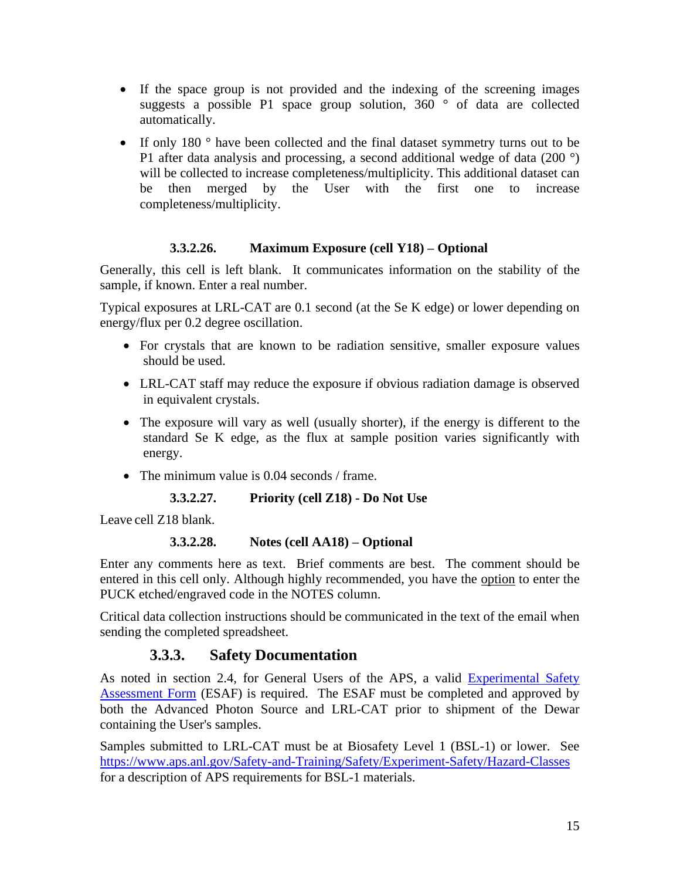- If the space group is not provided and the indexing of the screening images suggests a possible P1 space group solution,  $360^\circ$  of data are collected automatically.
- If only 180 ° have been collected and the final dataset symmetry turns out to be P1 after data analysis and processing, a second additional wedge of data (200 °) will be collected to increase completeness/multiplicity. This additional dataset can be then merged by the User with the first one to increase completeness/multiplicity.

#### **3.3.2.26. Maximum Exposure (cell Y18) – Optional**

Generally, this cell is left blank. It communicates information on the stability of the sample, if known. Enter a real number.

Typical exposures at LRL-CAT are 0.1 second (at the Se K edge) or lower depending on energy/flux per 0.2 degree oscillation.

- For crystals that are known to be radiation sensitive, smaller exposure values should be used.
- LRL-CAT staff may reduce the exposure if obvious radiation damage is observed in equivalent crystals.
- The exposure will vary as well (usually shorter), if the energy is different to the standard Se K edge, as the flux at sample position varies significantly with energy.
- The minimum value is 0.04 seconds / frame.

**3.3.2.27. Priority (cell Z18) - Do Not Use**

Leave cell Z18 blank.

#### **3.3.2.28. Notes (cell AA18) – Optional**

Enter any comments here as text. Brief comments are best. The comment should be entered in this cell only. Although highly recommended, you have the option to enter the PUCK etched/engraved code in the NOTES column.

Critical data collection instructions should be communicated in the text of the email when sending the completed spreadsheet.

#### **3.3.3. Safety Documentation**

<span id="page-14-0"></span>As noted in section 2.4, for General Users of the APS, a valid [Experimental Safety](https://beam.aps.anl.gov/pls/apsweb/esaf0001.start_page)  [Assessment Form](https://beam.aps.anl.gov/pls/apsweb/esaf0001.start_page) (ESAF) is required. The ESAF must be completed and approved by both the Advanced Photon Source and LRL-CAT prior to shipment of the Dewar containing the User's samples.

Samples submitted to LRL-CAT must be at Biosafety Level 1 (BSL-1) or lower. See <https://www.aps.anl.gov/Safety-and-Training/Safety/Experiment-Safety/Hazard-Classes> for a description of APS requirements for BSL-1 materials.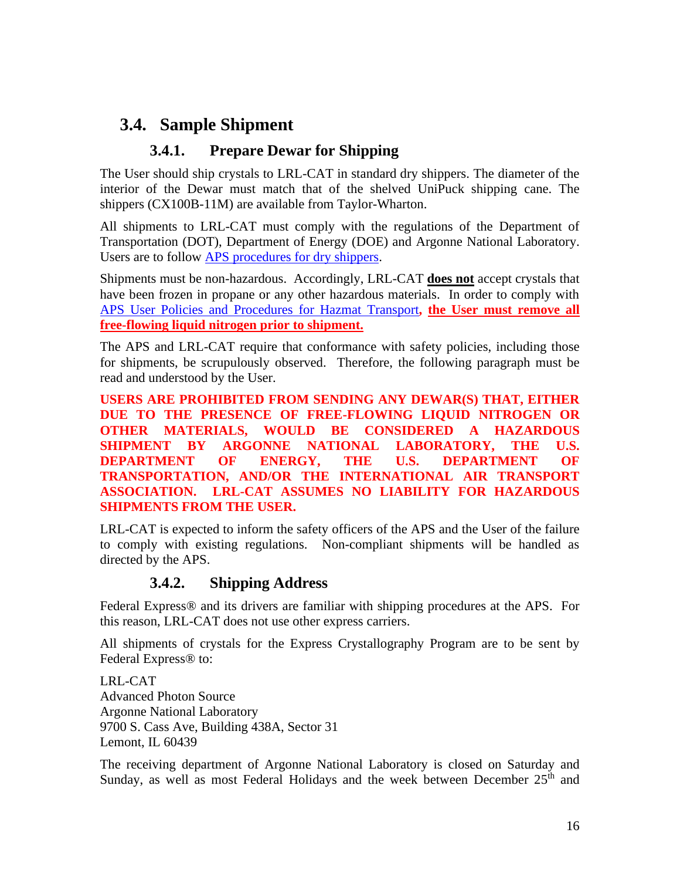## <span id="page-15-0"></span>**3.4. Sample Shipment**

#### **3.4.1. Prepare Dewar for Shipping**

<span id="page-15-1"></span>The User should ship crystals to LRL-CAT in standard dry shippers. The diameter of the interior of the Dewar must match that of the shelved UniPuck shipping cane. The shippers (CX100B-11M) are available from Taylor-Wharton.

All shipments to LRL-CAT must comply with the regulations of the Department of Transportation (DOT), Department of Energy (DOE) and Argonne National Laboratory. Users are to follow [APS procedures for dry shippers.](https://www.aps.anl.gov/Safety-and-Training/Safety/Shipping/Shipping-Samples-and-Equipment-An-Introduction)

Shipments must be non-hazardous. Accordingly, LRL-CAT **does not** accept crystals that have been frozen in propane or any other hazardous materials. In order to comply with [APS User Policies and Procedures for Hazmat Transport](https://www.aps.anl.gov/Safety-and-Training/Safety/Using-Material-Samples/Transporting-Hazardous-Materials)**, the User must remove all free-flowing liquid nitrogen prior to shipment.** 

The APS and LRL-CAT require that conformance with safety policies, including those for shipments, be scrupulously observed. Therefore, the following paragraph must be read and understood by the User.

**USERS ARE PROHIBITED FROM SENDING ANY DEWAR(S) THAT, EITHER DUE TO THE PRESENCE OF FREE-FLOWING LIQUID NITROGEN OR OTHER MATERIALS, WOULD BE CONSIDERED A HAZARDOUS SHIPMENT BY ARGONNE NATIONAL LABORATORY, THE U.S. DEPARTMENT OF ENERGY, THE U.S. DEPARTMENT OF TRANSPORTATION, AND/OR THE INTERNATIONAL AIR TRANSPORT ASSOCIATION. LRL-CAT ASSUMES NO LIABILITY FOR HAZARDOUS SHIPMENTS FROM THE USER.**

LRL-CAT is expected to inform the safety officers of the APS and the User of the failure to comply with existing regulations. Non-compliant shipments will be handled as directed by the APS.

#### **3.4.2. Shipping Address**

<span id="page-15-2"></span>Federal Express® and its drivers are familiar with shipping procedures at the APS. For this reason, LRL-CAT does not use other express carriers.

All shipments of crystals for the Express Crystallography Program are to be sent by Federal Express® to:

LRL-CAT Advanced Photon Source Argonne National Laboratory 9700 S. Cass Ave, Building 438A, Sector 31 Lemont, IL 60439

The receiving department of Argonne National Laboratory is closed on Saturday and Sunday, as well as most Federal Holidays and the week between December  $25<sup>th</sup>$  and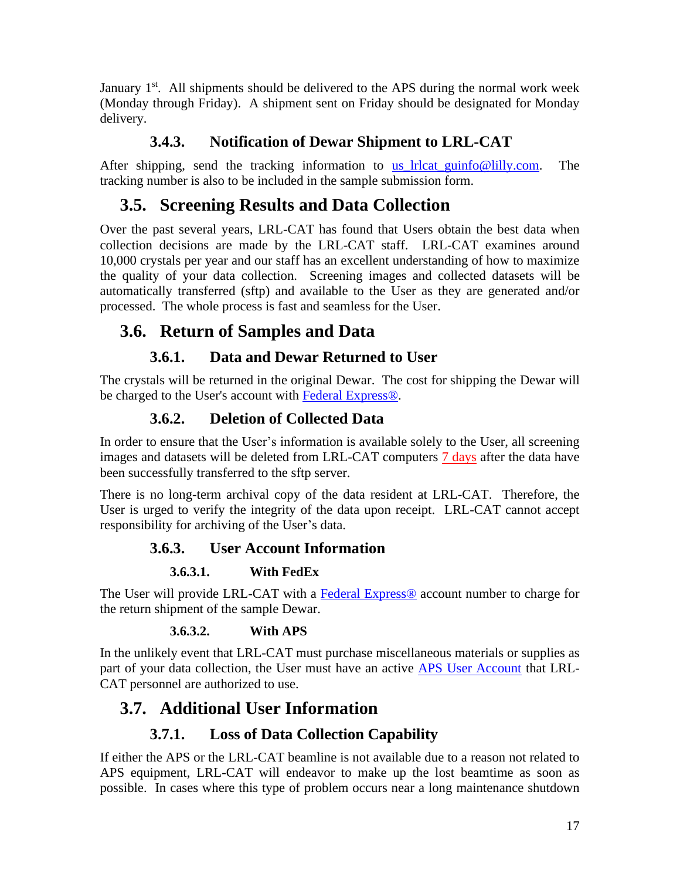January 1<sup>st</sup>. All shipments should be delivered to the APS during the normal work week (Monday through Friday). A shipment sent on Friday should be designated for Monday delivery.

## **3.4.3. Notification of Dewar Shipment to LRL-CAT**

<span id="page-16-0"></span>After shipping, send the tracking information to [us\\_lrlcat\\_guinfo@lilly.com.](mailto:us_lrlcat_guinfo@lilly.com) The tracking number is also to be included in the sample submission form.

## <span id="page-16-1"></span>**3.5. Screening Results and Data Collection**

Over the past several years, LRL-CAT has found that Users obtain the best data when collection decisions are made by the LRL-CAT staff. LRL-CAT examines around 10,000 crystals per year and our staff has an excellent understanding of how to maximize the quality of your data collection. Screening images and collected datasets will be automatically transferred (sftp) and available to the User as they are generated and/or processed. The whole process is fast and seamless for the User.

## <span id="page-16-2"></span>**3.6. Return of Samples and Data**

## **3.6.1. Data and Dewar Returned to User**

<span id="page-16-3"></span>The crystals will be returned in the original Dewar. The cost for shipping the Dewar will be charged to the User's account with [Federal Express®.](http://www.fedex.com/)

## **3.6.2. Deletion of Collected Data**

<span id="page-16-4"></span>In order to ensure that the User's information is available solely to the User, all screening images and datasets will be deleted from LRL-CAT computers  $\frac{7 \text{ days}}{2}$  after the data have been successfully transferred to the sftp server.

There is no long-term archival copy of the data resident at LRL-CAT. Therefore, the User is urged to verify the integrity of the data upon receipt. LRL-CAT cannot accept responsibility for archiving of the User's data.

### **3.6.3. User Account Information**

#### **3.6.3.1. With FedEx**

<span id="page-16-5"></span>The User will provide LRL-CAT with a [Federal Express®](http://www.fedex.com/us/) account number to charge for the return shipment of the sample Dewar.

#### **3.6.3.2. With APS**

In the unlikely event that LRL-CAT must purchase miscellaneous materials or supplies as part of your data collection, the User must have an active [APS User Account](https://www.aps.anl.gov/Users-Information/Legal-Financial/Establish-a-User-Account) that LRL-CAT personnel are authorized to use.

## <span id="page-16-6"></span>**3.7. Additional User Information**

## **3.7.1. Loss of Data Collection Capability**

<span id="page-16-7"></span>If either the APS or the LRL-CAT beamline is not available due to a reason not related to APS equipment, LRL-CAT will endeavor to make up the lost beamtime as soon as possible. In cases where this type of problem occurs near a long maintenance shutdown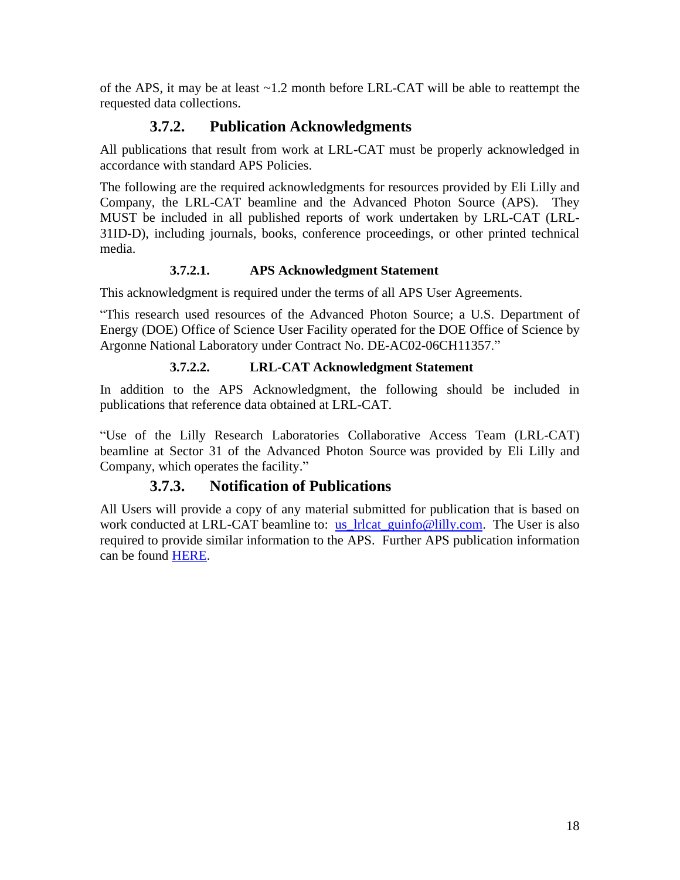of the APS, it may be at least ~1.2 month before LRL-CAT will be able to reattempt the requested data collections.

#### **3.7.2. Publication Acknowledgments**

<span id="page-17-0"></span>All publications that result from work at LRL-CAT must be properly acknowledged in accordance with standard APS Policies.

The following are the required acknowledgments for resources provided by Eli Lilly and Company, the LRL-CAT beamline and the Advanced Photon Source (APS). They MUST be included in all published reports of work undertaken by LRL-CAT (LRL-31ID-D), including journals, books, conference proceedings, or other printed technical media.

#### **3.7.2.1. APS Acknowledgment Statement**

This acknowledgment is required under the terms of all APS User Agreements.

"This research used resources of the Advanced Photon Source; a U.S. Department of Energy (DOE) Office of Science User Facility operated for the DOE Office of Science by Argonne National Laboratory under Contract No. DE-AC02-06CH11357."

#### **3.7.2.2. LRL-CAT Acknowledgment Statement**

In addition to the APS Acknowledgment, the following should be included in publications that reference data obtained at LRL-CAT.

"Use of the Lilly Research Laboratories Collaborative Access Team (LRL-CAT) beamline at Sector 31 of the Advanced Photon Source was provided by Eli Lilly and Company, which operates the facility."

#### **3.7.3. Notification of Publications**

<span id="page-17-1"></span>All Users will provide a copy of any material submitted for publication that is based on work conducted at LRL-CAT beamline to: us lrlcat guinfo@lilly.com. The User is also required to provide similar information to the APS. Further APS publication information can be found [HERE.](https://www.aps.anl.gov/Science/Publications)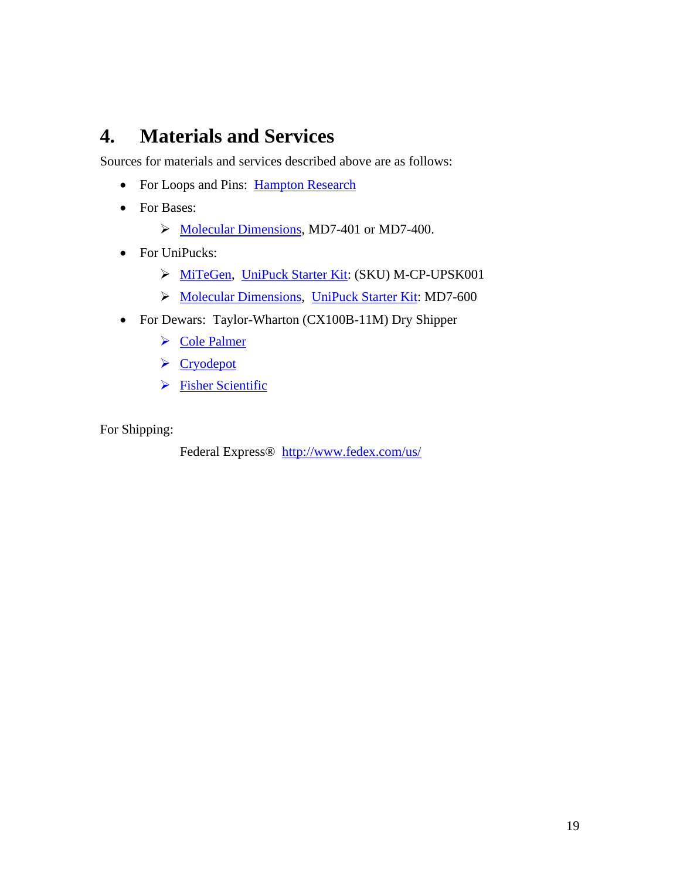## <span id="page-18-0"></span>**4. Materials and Services**

Sources for materials and services described above are as follows:

- For Loops and Pins: [Hampton Research](https://hamptonresearch.com/)
- For Bases:
	- ➢ [Molecular Dimensions](https://www.moleculardimensions.com/), MD7-401 or MD7-400.
- For UniPucks:
	- ➢ [MiTeGen,](https://www.mitegen.com/) UniPuck [Starter Kit:](https://www.mitegen.com/product/universal-pucks-starter-kits/) (SKU) M-CP-UPSK001
	- ➢ [Molecular Dimensions](https://www.moleculardimensions.com/), UniPuck [Starter Kit:](https://www.moleculardimensions.com/products/uni-pucks-and-accessories) MD7-600
- For Dewars: Taylor-Wharton (CX100B-11M) Dry Shipper
	- ➢ [Cole Palmer](https://www.coleparmer.com/i/taylor-wharton-cx100b-11m-cryogenic-shippers-4-4-l-30-day-static-hold-time/4430008?searchterm=CX100B-11M)
	- ➢ [Cryodepot](http://www.cryodepot.com/)
	- ➢ [Fisher Scientific](https://www.fishersci.com/us/en/catalog/search/products?keyword=cryogenic+shippers&nav=)

For Shipping:

Federal Express® <http://www.fedex.com/us/>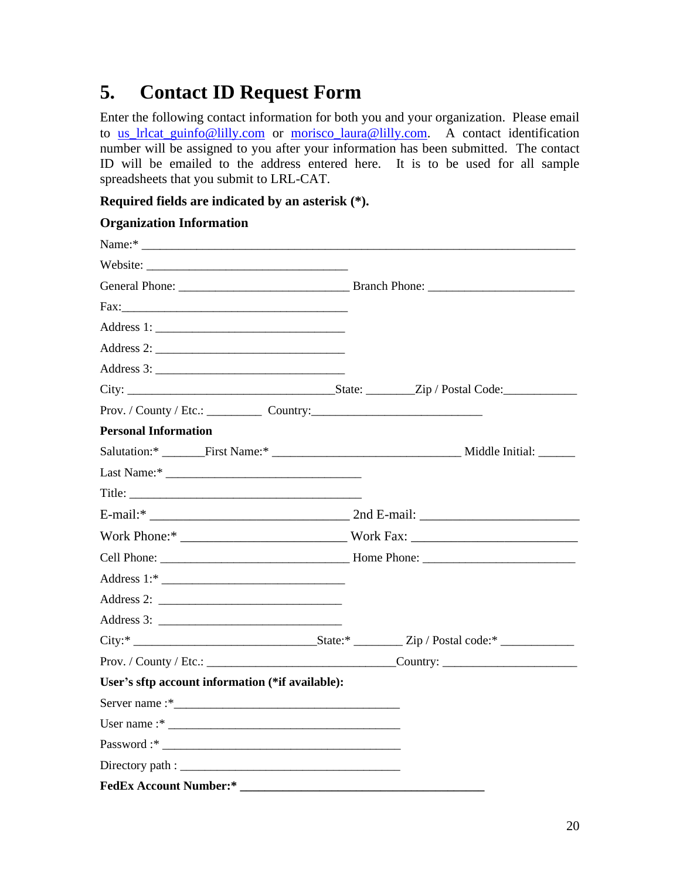## <span id="page-19-0"></span>**5. Contact ID Request Form**

Enter the following contact information for both you and your organization. Please email to [us\\_lrlcat\\_guinfo@lilly.com](mailto:us_lrlcat_guinfo@lilly.com) or [morisco\\_laura@lilly.com.](mailto:morisco_laura@lilly.com) A contact identification number will be assigned to you after your information has been submitted. The contact ID will be emailed to the address entered here. It is to be used for all sample spreadsheets that you submit to LRL-CAT.

#### **Required fields are indicated by an asterisk (\*).**

#### **Organization Information**

| Name:*                                                                                                                                                                                                                         |  |
|--------------------------------------------------------------------------------------------------------------------------------------------------------------------------------------------------------------------------------|--|
|                                                                                                                                                                                                                                |  |
| General Phone: Branch Phone: Branch Phone:                                                                                                                                                                                     |  |
|                                                                                                                                                                                                                                |  |
|                                                                                                                                                                                                                                |  |
|                                                                                                                                                                                                                                |  |
|                                                                                                                                                                                                                                |  |
|                                                                                                                                                                                                                                |  |
| Prov. / County / Etc.: Country: Country:                                                                                                                                                                                       |  |
| <b>Personal Information</b>                                                                                                                                                                                                    |  |
|                                                                                                                                                                                                                                |  |
|                                                                                                                                                                                                                                |  |
|                                                                                                                                                                                                                                |  |
|                                                                                                                                                                                                                                |  |
| Work Phone:* North Phone: * North Phone: * North Phone: * North Phone: * North Phone: * North Phone: * North Phone: * North Phone: * North Phone: * North Phone: * North Phone: * North Phone: * North Phone: * North Phone: * |  |
|                                                                                                                                                                                                                                |  |
|                                                                                                                                                                                                                                |  |
|                                                                                                                                                                                                                                |  |
|                                                                                                                                                                                                                                |  |
|                                                                                                                                                                                                                                |  |
|                                                                                                                                                                                                                                |  |
| User's sftp account information (*if available):                                                                                                                                                                               |  |
|                                                                                                                                                                                                                                |  |
|                                                                                                                                                                                                                                |  |
|                                                                                                                                                                                                                                |  |
|                                                                                                                                                                                                                                |  |
| <b>FedEx Account Number:*</b>                                                                                                                                                                                                  |  |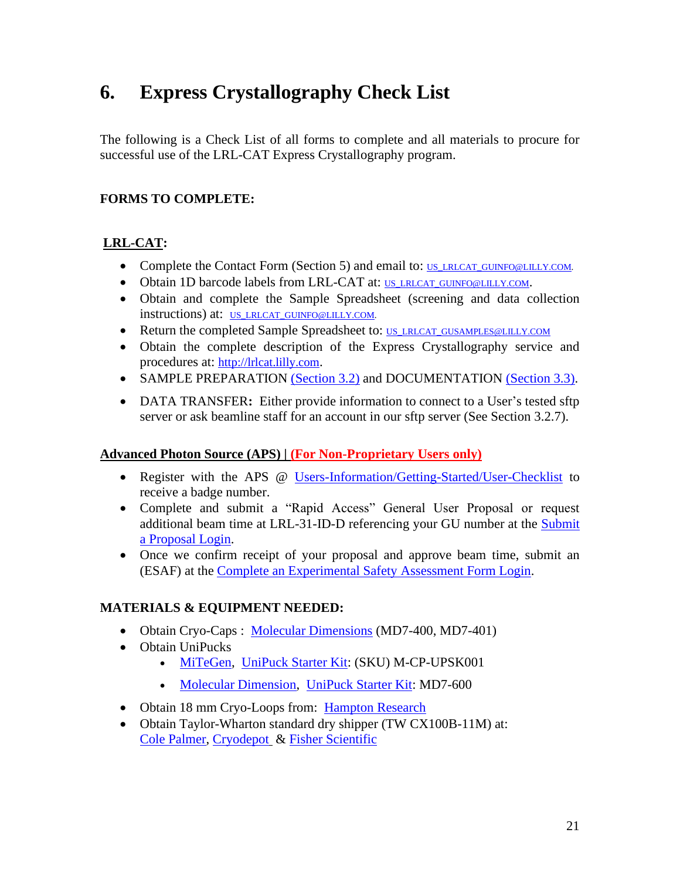## <span id="page-20-0"></span>**6. Express Crystallography Check List**

The following is a Check List of all forms to complete and all materials to procure for successful use of the LRL-CAT Express Crystallography program.

#### **FORMS TO COMPLETE:**

#### **LRL-CAT:**

- Complete the Contact Form (Section 5) and email to: [US\\_LRLCAT\\_GUINFO@LILLY.COM.](mailto:US_LRLCAT_GUINFO@LILLY.COM)
- Obtain 1D barcode labels from LRL-CAT at: US LRLCAT GUINFO@LILLY.COM.
- Obtain and complete the Sample Spreadsheet (screening and data collection instructions) at: [US\\_LRLCAT\\_GUINFO@LILLY.COM.](mailto:US_LRLCAT_GUINFO@LILLY.COM)
- Return the completed Sample Spreadsheet to: [US\\_LRLCAT\\_GUSAMPLES@LILLY.COM](mailto:US_LRLCAT_GUSAMPLES@LILLY.COM)
- Obtain the complete description of the Express Crystallography service and procedures at: [http://lrlcat.lilly.com](http://lrlcat.lilly.com/).
- SAMPLE PREPARATION [\(Section 3.2\)](#page-5-2) and DOCUMENTATION [\(Section 3.3\).](#page-9-0)
- DATA TRANSFER: Either provide information to connect to a User's tested sftp server or ask beamline staff for an account in our sftp server (See Section 3.2.7).

#### **Advanced Photon Source (APS) | (For Non-Proprietary Users only)**

- Register with the APS @ [Users-Information/Getting-Started/User-Checklist](https://www.aps.anl.gov/Users-Information/Getting-Started/User-Checklist) to receive a badge number.
- Complete and submit a "Rapid Access" General User Proposal or request additional beam time at LRL-31-ID-D referencing your GU number at the [Submit](https://www.aps.anl.gov/Users-Information/About-Proposals/Apply-for-Time)  [a Proposal](https://www.aps.anl.gov/Users-Information/About-Proposals/Apply-for-Time) Login.
- Once we confirm receipt of your proposal and approve beam time, submit an (ESAF) at the [Complete an Experimental Safety Assessment Form Login.](https://beam.aps.anl.gov/pls/apsweb/esaf0001.start_page)

#### **MATERIALS & EQUIPMENT NEEDED:**

- Obtain Cryo-Caps : [Molecular Dimensions](https://www.moleculardimensions.com/) (MD7-400, MD7-401)
- Obtain UniPucks
	- [MiTeGen,](https://www.mitegen.com/) [UniPuck Starter Kit:](https://www.mitegen.com/product/universal-pucks-starter-kits/) (SKU) M-CP-UPSK001
	- [Molecular Dimension,](https://www.moleculardimensions.com/) [UniPuck Starter Kit:](https://www.moleculardimensions.com/products/uni-pucks-and-accessories) MD7-600
- Obtain 18 mm Cryo-Loops from: [Hampton Research](http://hamptonresearch.com/product_detail.aspx?cid=24&sid=136&pid=624)
- <span id="page-20-1"></span>• Obtain Taylor-Wharton standard dry shipper (TW CX100B-11M) at: [Cole Palmer,](https://www.coleparmer.com/b/taylor-wharton) [Cryodepot](http://www.cryodepot.com/) & [Fisher Scientific](http://www.fisherscientific.com/)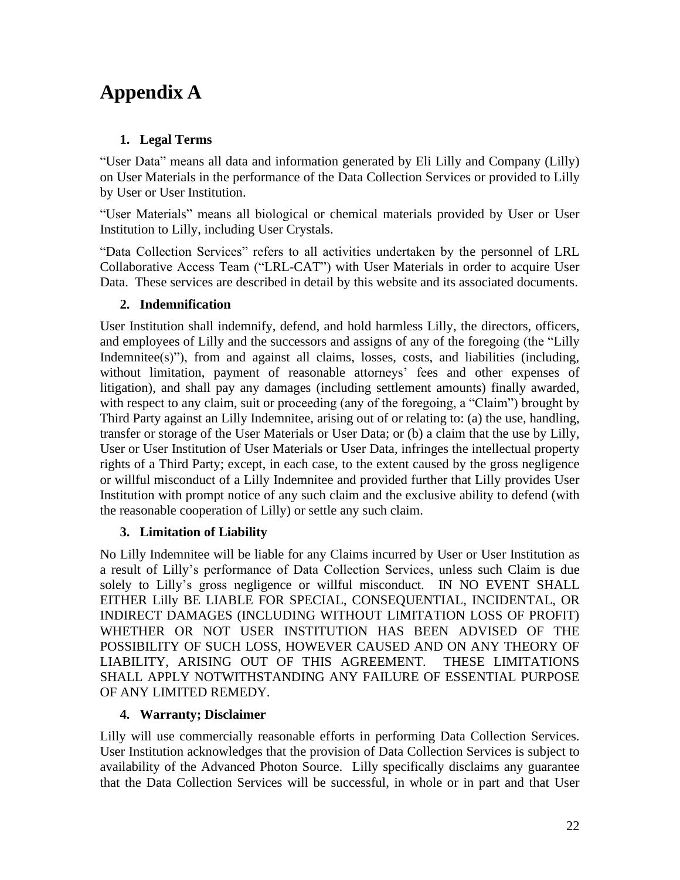# **Appendix A**

#### **1. Legal Terms**

"User Data" means all data and information generated by Eli Lilly and Company (Lilly) on User Materials in the performance of the Data Collection Services or provided to Lilly by User or User Institution.

"User Materials" means all biological or chemical materials provided by User or User Institution to Lilly, including User Crystals.

"Data Collection Services" refers to all activities undertaken by the personnel of LRL Collaborative Access Team ("LRL-CAT") with User Materials in order to acquire User Data. These services are described in detail by this website and its associated documents.

#### **2. Indemnification**

User Institution shall indemnify, defend, and hold harmless Lilly, the directors, officers, and employees of Lilly and the successors and assigns of any of the foregoing (the "Lilly Indemnitee(s)"), from and against all claims, losses, costs, and liabilities (including, without limitation, payment of reasonable attorneys' fees and other expenses of litigation), and shall pay any damages (including settlement amounts) finally awarded, with respect to any claim, suit or proceeding (any of the foregoing, a "Claim") brought by Third Party against an Lilly Indemnitee, arising out of or relating to: (a) the use, handling, transfer or storage of the User Materials or User Data; or (b) a claim that the use by Lilly, User or User Institution of User Materials or User Data, infringes the intellectual property rights of a Third Party; except, in each case, to the extent caused by the gross negligence or willful misconduct of a Lilly Indemnitee and provided further that Lilly provides User Institution with prompt notice of any such claim and the exclusive ability to defend (with the reasonable cooperation of Lilly) or settle any such claim.

#### **3. Limitation of Liability**

No Lilly Indemnitee will be liable for any Claims incurred by User or User Institution as a result of Lilly's performance of Data Collection Services, unless such Claim is due solely to Lilly's gross negligence or willful misconduct. IN NO EVENT SHALL EITHER Lilly BE LIABLE FOR SPECIAL, CONSEQUENTIAL, INCIDENTAL, OR INDIRECT DAMAGES (INCLUDING WITHOUT LIMITATION LOSS OF PROFIT) WHETHER OR NOT USER INSTITUTION HAS BEEN ADVISED OF THE POSSIBILITY OF SUCH LOSS, HOWEVER CAUSED AND ON ANY THEORY OF LIABILITY, ARISING OUT OF THIS AGREEMENT. THESE LIMITATIONS SHALL APPLY NOTWITHSTANDING ANY FAILURE OF ESSENTIAL PURPOSE OF ANY LIMITED REMEDY.

#### **4. Warranty; Disclaimer**

Lilly will use commercially reasonable efforts in performing Data Collection Services. User Institution acknowledges that the provision of Data Collection Services is subject to availability of the Advanced Photon Source. Lilly specifically disclaims any guarantee that the Data Collection Services will be successful, in whole or in part and that User